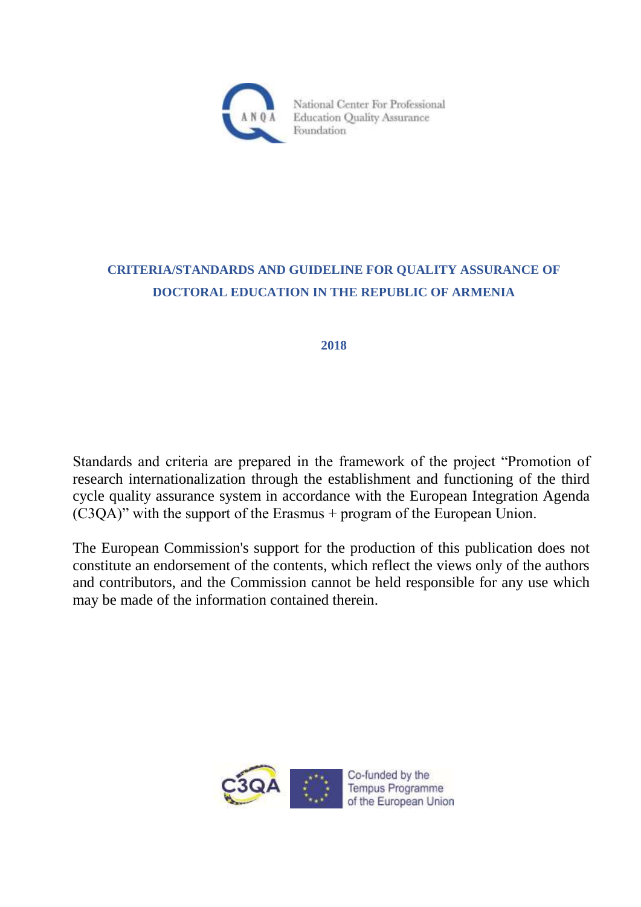

# **CRITERIA/STANDARDS AND GUIDELINE FOR QUALITY ASSURANCE OF DOCTORAL EDUCATION IN THE REPUBLIC OF ARMENIA**

**2018**

Standards and criteria are prepared in the framework of the project "Promotion of research internationalization through the establishment and functioning of the third cycle quality assurance system in accordance with the European Integration Agenda (C3QA)" with the support of the Erasmus + program of the European Union.

The European Commission's support for the production of this publication does not constitute an endorsement of the contents, which reflect the views only of the authors and contributors, and the Commission cannot be held responsible for any use which may be made of the information contained therein.

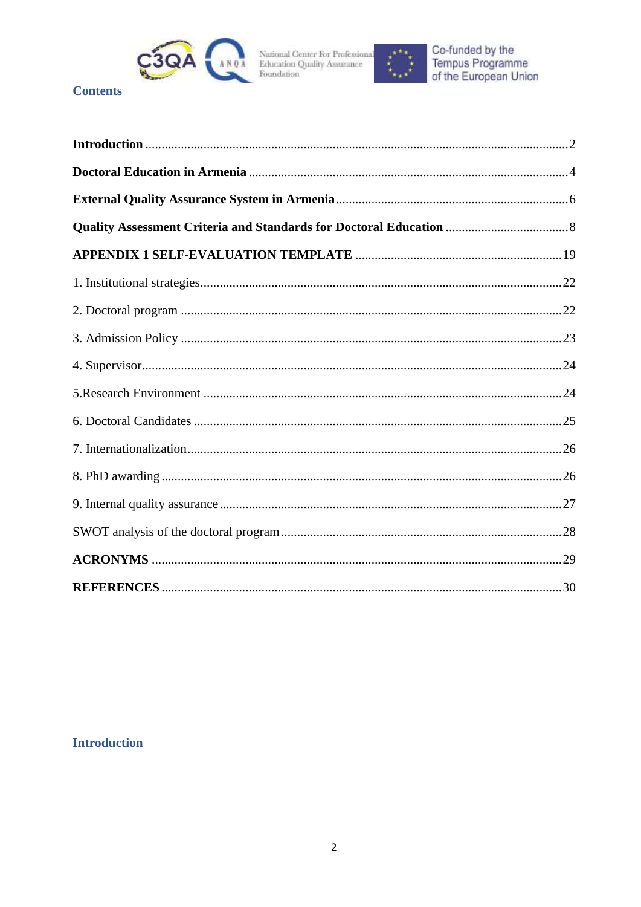



## **Contents**

## <span id="page-1-0"></span>**Introduction**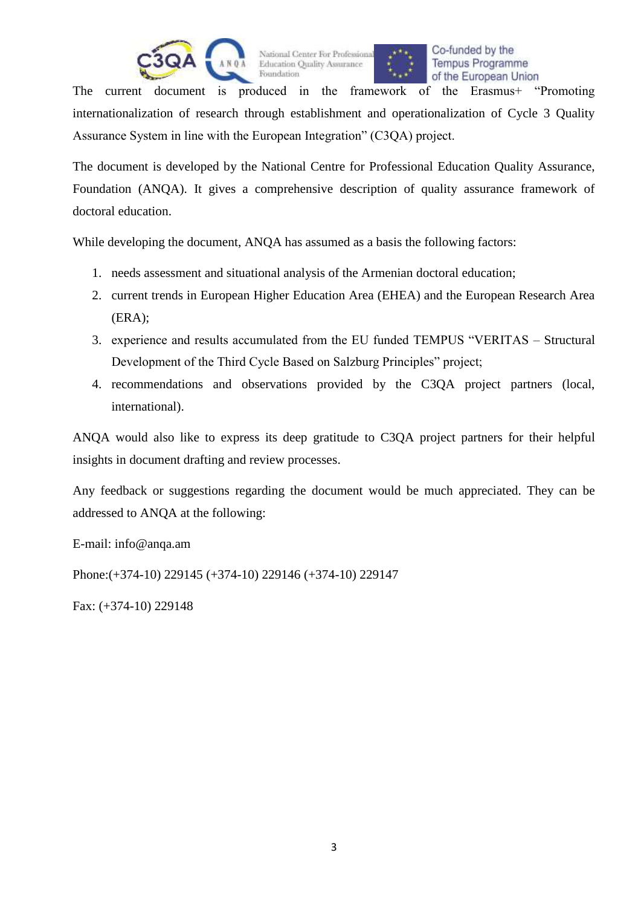



Co-funded by the **Tempus Programme** of the European Union

The current document is produced in the framework of the Erasmus+ "Promoting internationalization of research through establishment and operationalization of Cycle 3 Quality Assurance System in line with the European Integration" (C3QA) project.

The document is developed by the National Centre for Professional Education Quality Assurance, Foundation (ANQA). It gives a comprehensive description of quality assurance framework of doctoral education.

While developing the document, ANQA has assumed as a basis the following factors:

- 1. needs assessment and situational analysis of the Armenian doctoral education;
- 2. current trends in European Higher Education Area (EHEA) and the European Research Area (ERA);
- 3. experience and results accumulated from the EU funded TEMPUS "VERITAS Structural Development of the Third Cycle Based on Salzburg Principles" project;
- 4. recommendations and observations provided by the C3QA project partners (local, international).

ANQA would also like to express its deep gratitude to C3QA project partners for their helpful insights in document drafting and review processes.

Any feedback or suggestions regarding the document would be much appreciated. They can be addressed to ANQA at the following:

E-mail: info@anqa.am

Phone:(+374-10) 229145 (+374-10) 229146 (+374-10) 229147

Fax: (+374-10) 229148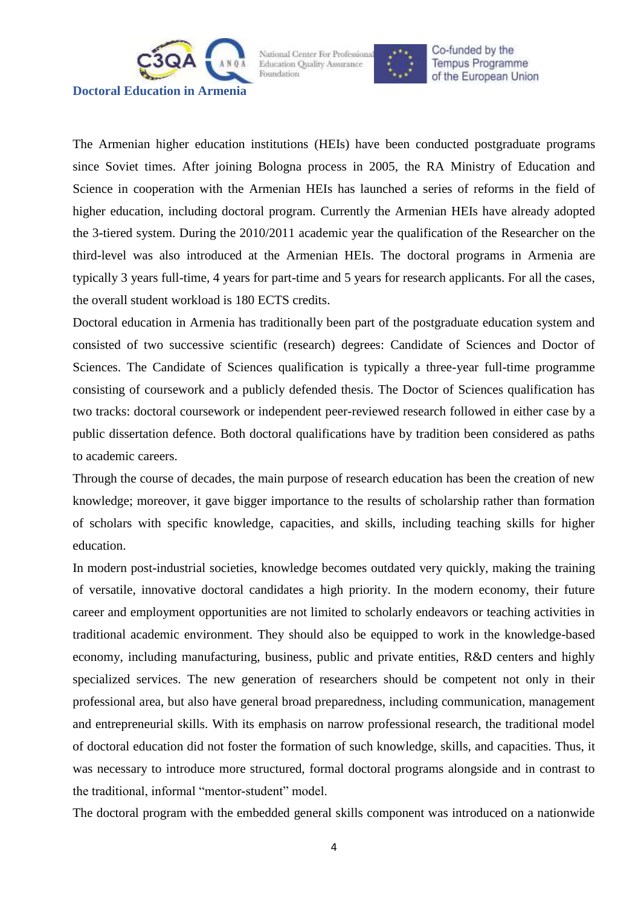<span id="page-3-0"></span>



Co-funded by the **Tempus Programme** of the European Union

The Armenian higher education institutions (HEIs) have been conducted postgraduate programs since Soviet times. After joining Bologna process in 2005, the RA Ministry of Education and Science in cooperation with the Armenian HEIs has launched a series of reforms in the field of higher education, including doctoral program. Currently the Armenian HEIs have already adopted the 3-tiered system. During the 2010/2011 academic year the qualification of the Researcher on the third-level was also introduced at the Armenian HEIs. The doctoral programs in Armenia are typically 3 years full-time, 4 years for part-time and 5 years for research applicants. For all the cases, the overall student workload is 180 ECTS credits.

Doctoral education in Armenia has traditionally been part of the postgraduate education system and consisted of two successive scientific (research) degrees: Candidate of Sciences and Doctor of Sciences. The Candidate of Sciences qualification is typically a three-year full-time programme consisting of coursework and a publicly defended thesis. The Doctor of Sciences qualification has two tracks: doctoral coursework or independent peer-reviewed research followed in either case by a public dissertation defence. Both doctoral qualifications have by tradition been considered as paths to academic careers.

Through the course of decades, the main purpose of research education has been the creation of new knowledge; moreover, it gave bigger importance to the results of scholarship rather than formation of scholars with specific knowledge, capacities, and skills, including teaching skills for higher education.

In modern post-industrial societies, knowledge becomes outdated very quickly, making the training of versatile, innovative doctoral candidates a high priority. In the modern economy, their future career and employment opportunities are not limited to scholarly endeavors or teaching activities in traditional academic environment. They should also be equipped to work in the knowledge-based economy, including manufacturing, business, public and private entities, R&D centers and highly specialized services. The new generation of researchers should be competent not only in their professional area, but also have general broad preparedness, including communication, management and entrepreneurial skills. With its emphasis on narrow professional research, the traditional model of doctoral education did not foster the formation of such knowledge, skills, and capacities. Thus, it was necessary to introduce more structured, formal doctoral programs alongside and in contrast to the traditional, informal "mentor-student" model.

The doctoral program with the embedded general skills component was introduced on a nationwide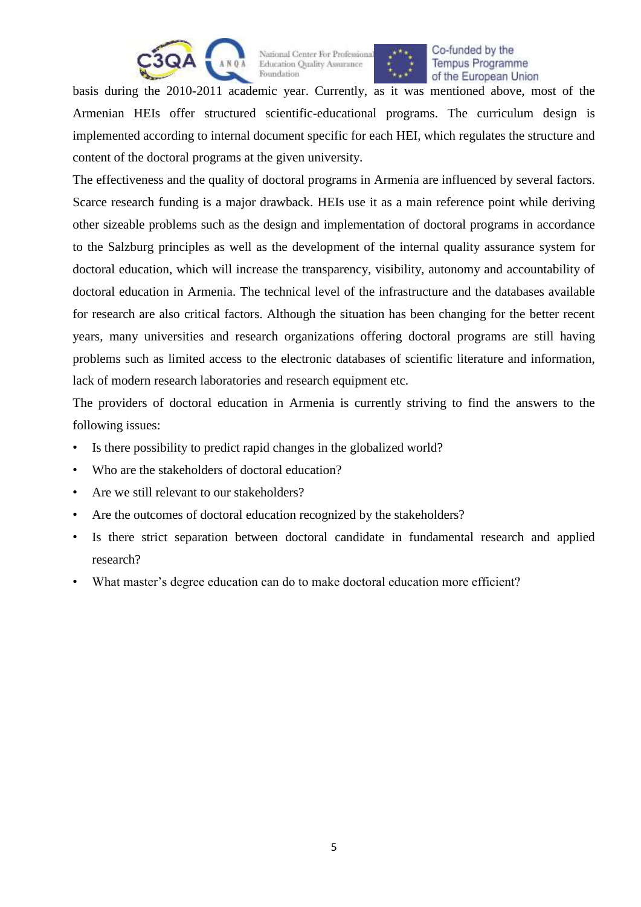



Foundation of the European Union basis during the 2010-2011 academic year. Currently, as it was mentioned above, most of the Armenian HEIs offer structured scientific-educational programs. The curriculum design is implemented according to internal document specific for each HEI, which regulates the structure and

content of the doctoral programs at the given university.

The effectiveness and the quality of doctoral programs in Armenia are influenced by several factors. Scarce research funding is a major drawback. HEIs use it as a main reference point while deriving other sizeable problems such as the design and implementation of doctoral programs in accordance to the Salzburg principles as well as the development of the internal quality assurance system for doctoral education, which will increase the transparency, visibility, autonomy and accountability of doctoral education in Armenia. The technical level of the infrastructure and the databases available for research are also critical factors. Although the situation has been changing for the better recent years, many universities and research organizations offering doctoral programs are still having problems such as limited access to the electronic databases of scientific literature and information, lack of modern research laboratories and research equipment etc.

The providers of doctoral education in Armenia is currently striving to find the answers to the following issues:

- Is there possibility to predict rapid changes in the globalized world?
- Who are the stakeholders of doctoral education?
- Are we still relevant to our stakeholders?
- Are the outcomes of doctoral education recognized by the stakeholders?
- Is there strict separation between doctoral candidate in fundamental research and applied research?
- What master's degree education can do to make doctoral education more efficient?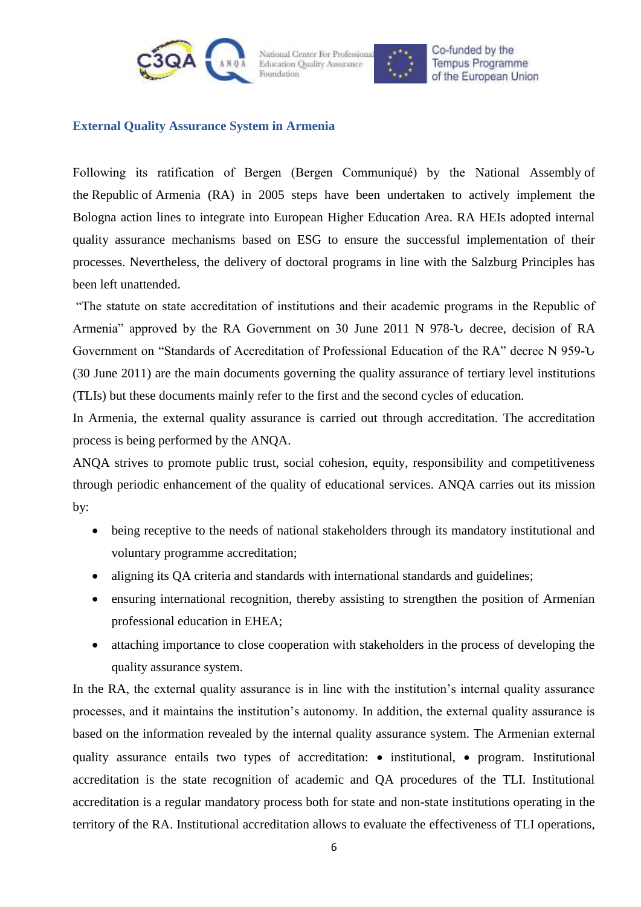



Co-funded by the **Tempus Programme** of the European Union

#### <span id="page-5-0"></span>**External Quality Assurance System in Armenia**

Following its ratification of Bergen (Bergen Communiqué) by the National Assembly of the Republic of Armenia (RA) in 2005 steps have been undertaken to actively implement the Bologna action lines to integrate into European Higher Education Area. RA HEIs adopted internal quality assurance mechanisms based on ESG to ensure the successful implementation of their processes. Nevertheless, the delivery of doctoral programs in line with the Salzburg Principles has been left unattended.

"The statute on state accreditation of institutions and their academic programs in the Republic of Armenia" approved by the RA Government on 30 June 2011 N 978-Ն decree, decision of RA Government on "Standards of Accreditation of Professional Education of the RA" decree N 959-Ն (30 June 2011) are the main documents governing the quality assurance of tertiary level institutions (TLIs) but these documents mainly refer to the first and the second cycles of education.

In Armenia, the external quality assurance is carried out through accreditation. The accreditation process is being performed by the ANQA.

ANQA strives to promote public trust, social cohesion, equity, responsibility and competitiveness through periodic enhancement of the quality of educational services. ANQA carries out its mission by:

- being receptive to the needs of national stakeholders through its mandatory institutional and voluntary programme accreditation;
- aligning its QA criteria and standards with international standards and guidelines;
- ensuring international recognition, thereby assisting to strengthen the position of Armenian professional education in EHEA;
- attaching importance to close cooperation with stakeholders in the process of developing the quality assurance system.

In the RA, the external quality assurance is in line with the institution's internal quality assurance processes, and it maintains the institution's autonomy. In addition, the external quality assurance is based on the information revealed by the internal quality assurance system. The Armenian external quality assurance entails two types of accreditation:  $\bullet$  institutional,  $\bullet$  program. Institutional accreditation is the state recognition of academic and QA procedures of the TLI. Institutional accreditation is a regular mandatory process both for state and non-state institutions operating in the territory of the RA. Institutional accreditation allows to evaluate the effectiveness of TLI operations,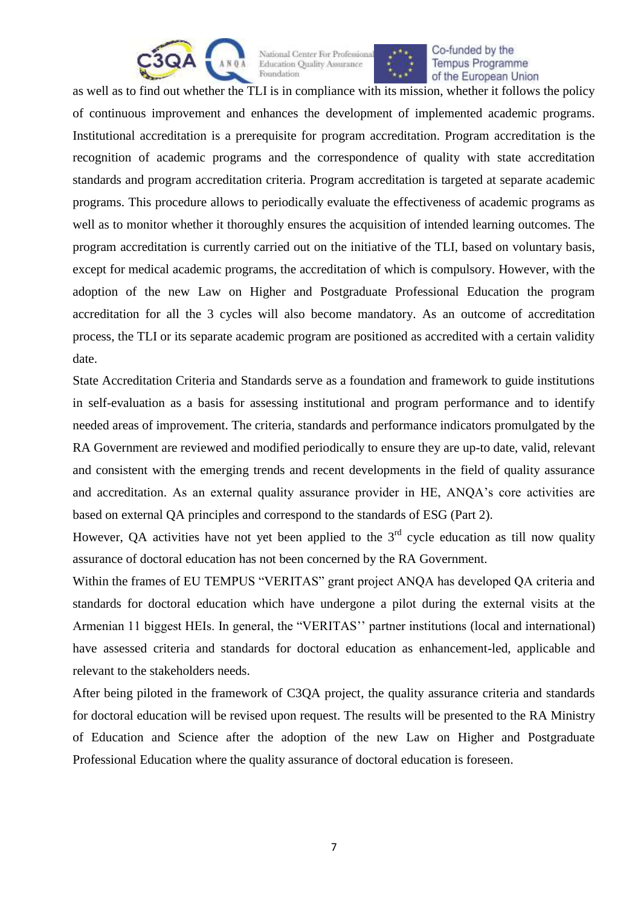



as well as to find out whether the TLI is in compliance with its mission, whether it follows the policy of continuous improvement and enhances the development of implemented academic programs. Institutional accreditation is a prerequisite for program accreditation. Program accreditation is the recognition of academic programs and the correspondence of quality with state accreditation standards and program accreditation criteria. Program accreditation is targeted at separate academic programs. This procedure allows to periodically evaluate the effectiveness of academic programs as well as to monitor whether it thoroughly ensures the acquisition of intended learning outcomes. The program accreditation is currently carried out on the initiative of the TLI, based on voluntary basis, except for medical academic programs, the accreditation of which is compulsory. However, with the adoption of the new Law on Higher and Postgraduate Professional Education the program accreditation for all the 3 cycles will also become mandatory. As an outcome of accreditation process, the TLI or its separate academic program are positioned as accredited with a certain validity date.

State Accreditation Criteria and Standards serve as a foundation and framework to guide institutions in self-evaluation as a basis for assessing institutional and program performance and to identify needed areas of improvement. The criteria, standards and performance indicators promulgated by the RA Government are reviewed and modified periodically to ensure they are up-to date, valid, relevant and consistent with the emerging trends and recent developments in the field of quality assurance and accreditation. As an external quality assurance provider in HE, ANQA's core activities are based on external QA principles and correspond to the standards of ESG (Part 2).

However, QA activities have not yet been applied to the  $3<sup>rd</sup>$  cycle education as till now quality assurance of doctoral education has not been concerned by the RA Government.

Within the frames of EU TEMPUS "VERITAS" grant project ANQA has developed QA criteria and standards for doctoral education which have undergone a pilot during the external visits at the Armenian 11 biggest HEIs. In general, the "VERITAS'' partner institutions (local and international) have assessed criteria and standards for doctoral education as enhancement-led, applicable and relevant to the stakeholders needs.

After being piloted in the framework of C3QA project, the quality assurance criteria and standards for doctoral education will be revised upon request. The results will be presented to the RA Ministry of Education and Science after the adoption of the new Law on Higher and Postgraduate Professional Education where the quality assurance of doctoral education is foreseen.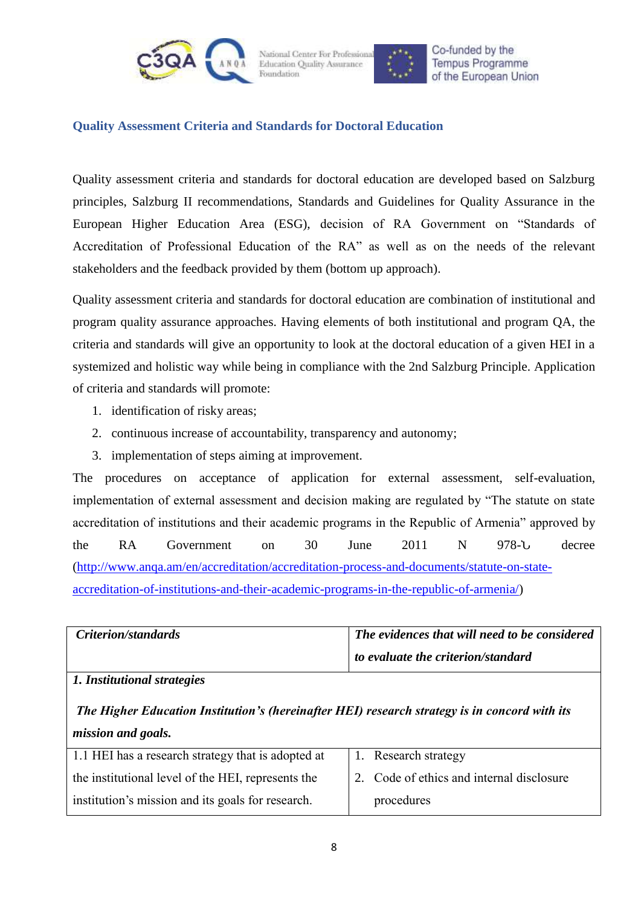



Co-funded by the **Tempus Programme** of the European Union

### <span id="page-7-0"></span>**Quality Assessment Criteria and Standards for Doctoral Education**

Quality assessment criteria and standards for doctoral education are developed based on Salzburg principles, Salzburg II recommendations, Standards and Guidelines for Quality Assurance in the European Higher Education Area (ESG), decision of RA Government on "Standards of Accreditation of Professional Education of the RA" as well as on the needs of the relevant stakeholders and the feedback provided by them (bottom up approach).

Quality assessment criteria and standards for doctoral education are combination of institutional and program quality assurance approaches. Having elements of both institutional and program QA, the criteria and standards will give an opportunity to look at the doctoral education of a given HEI in a systemized and holistic way while being in compliance with the 2nd Salzburg Principle. Application of criteria and standards will promote:

- 1. identification of risky areas;
- 2. continuous increase of accountability, transparency and autonomy;
- 3. implementation of steps aiming at improvement.

The procedures on acceptance of application for external assessment, self-evaluation, implementation of external assessment and decision making are regulated by "The statute on state accreditation of institutions and their academic programs in the Republic of Armenia" approved by the RA Government on 30 June 2011 N 978-U decree [\(http://www.anqa.am/en/accreditation/accreditation-process-and-documents/statute-on-state](http://www.anqa.am/en/accreditation/accreditation-process-and-documents/statute-on-state-accreditation-of-institutions-and-their-academic-programs-in-the-republic-of-armenia/)[accreditation-of-institutions-and-their-academic-programs-in-the-republic-of-armenia/\)](http://www.anqa.am/en/accreditation/accreditation-process-and-documents/statute-on-state-accreditation-of-institutions-and-their-academic-programs-in-the-republic-of-armenia/)

| <i>Criterion/standards</i>  | The evidences that will need to be considered |
|-----------------------------|-----------------------------------------------|
|                             | to evaluate the criterion/standard            |
| 1. Institutional strategies |                                               |

*The Higher Education Institution's (hereinafter HEI) research strategy is in concord with its mission and goals.*

| 1.1 HEI has a research strategy that is adopted at | 1. Research strategy                      |
|----------------------------------------------------|-------------------------------------------|
| the institutional level of the HEI, represents the | 2. Code of ethics and internal disclosure |
| institution's mission and its goals for research.  | procedures                                |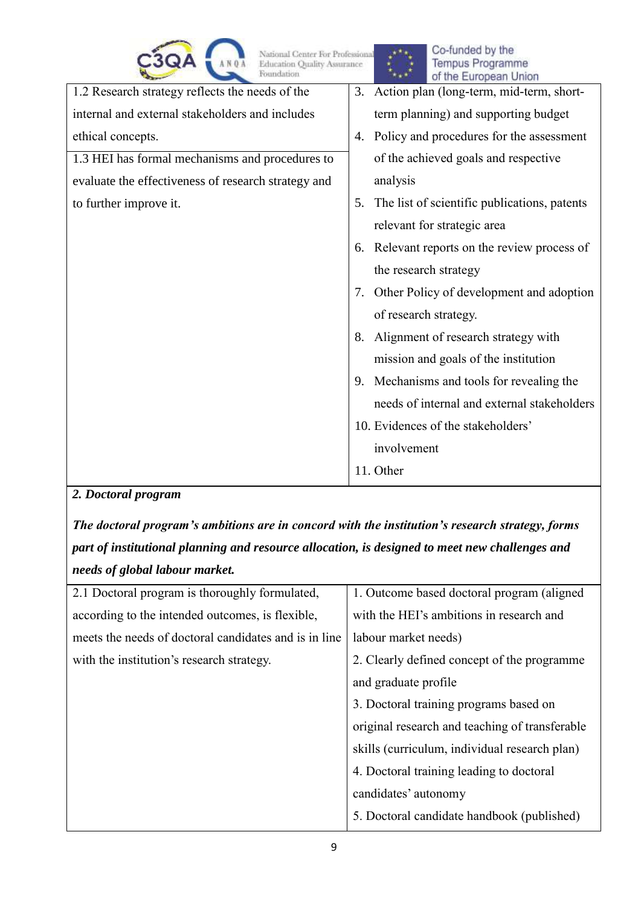

National Center For Professional<br>Education Quality Assurance

| POUDGARON                                           | ***<br>of the European Union                       |
|-----------------------------------------------------|----------------------------------------------------|
| 1.2 Research strategy reflects the needs of the     | 3. Action plan (long-term, mid-term, short-        |
| internal and external stakeholders and includes     | term planning) and supporting budget               |
| ethical concepts.                                   | Policy and procedures for the assessment<br>4.     |
| 1.3 HEI has formal mechanisms and procedures to     | of the achieved goals and respective               |
| evaluate the effectiveness of research strategy and | analysis                                           |
| to further improve it.                              | The list of scientific publications, patents<br>5. |
|                                                     | relevant for strategic area                        |
|                                                     | Relevant reports on the review process of<br>6.    |
|                                                     | the research strategy                              |
|                                                     | Other Policy of development and adoption<br>7.     |
|                                                     | of research strategy.                              |
|                                                     | Alignment of research strategy with<br>8.          |
|                                                     | mission and goals of the institution               |
|                                                     | Mechanisms and tools for revealing the<br>9.       |
|                                                     | needs of internal and external stakeholders        |
|                                                     | 10. Evidences of the stakeholders'                 |
|                                                     | involvement                                        |
|                                                     | 11. Other                                          |

*2. Doctoral program* 

*The doctoral program's ambitions are in concord with the institution's research strategy, forms part of institutional planning and resource allocation, is designed to meet new challenges and needs of global labour market.* 

| 2.1 Doctoral program is thoroughly formulated,        | 1. Outcome based doctoral program (aligned)    |
|-------------------------------------------------------|------------------------------------------------|
| according to the intended outcomes, is flexible,      | with the HEI's ambitions in research and       |
| meets the needs of doctoral candidates and is in line | labour market needs)                           |
| with the institution's research strategy.             | 2. Clearly defined concept of the programme    |
|                                                       | and graduate profile                           |
|                                                       | 3. Doctoral training programs based on         |
|                                                       | original research and teaching of transferable |
|                                                       | skills (curriculum, individual research plan)  |
|                                                       | 4. Doctoral training leading to doctoral       |
|                                                       | candidates' autonomy                           |
|                                                       | 5. Doctoral candidate handbook (published)     |
|                                                       |                                                |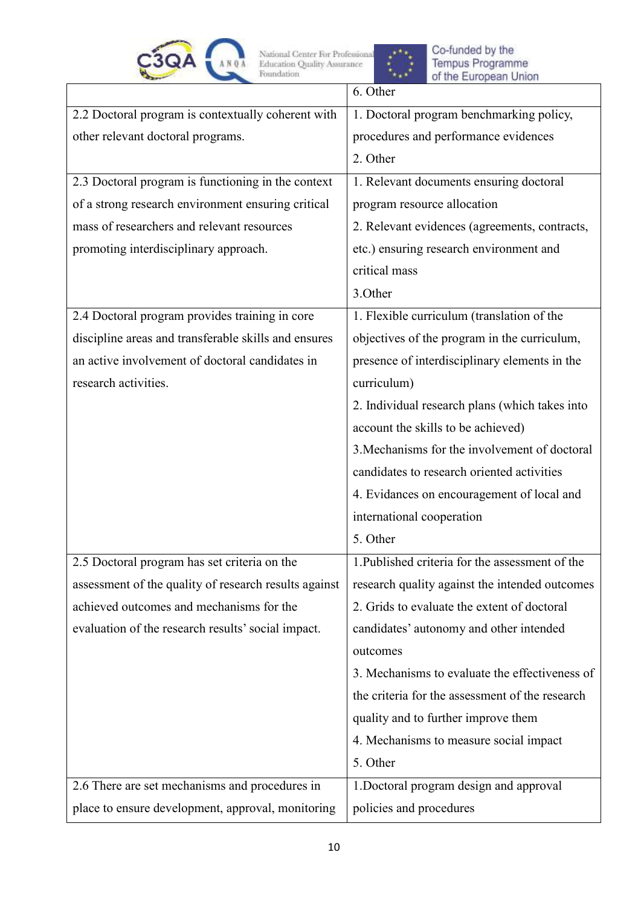



Co-funded by the<br>Tempus Programme<br>of the European Union

|                                                       | 6. Other                                        |
|-------------------------------------------------------|-------------------------------------------------|
| 2.2 Doctoral program is contextually coherent with    | 1. Doctoral program benchmarking policy,        |
| other relevant doctoral programs.                     | procedures and performance evidences            |
|                                                       | 2. Other                                        |
| 2.3 Doctoral program is functioning in the context    | 1. Relevant documents ensuring doctoral         |
| of a strong research environment ensuring critical    | program resource allocation                     |
| mass of researchers and relevant resources            | 2. Relevant evidences (agreements, contracts,   |
| promoting interdisciplinary approach.                 | etc.) ensuring research environment and         |
|                                                       | critical mass                                   |
|                                                       | 3.Other                                         |
| 2.4 Doctoral program provides training in core        | 1. Flexible curriculum (translation of the      |
| discipline areas and transferable skills and ensures  | objectives of the program in the curriculum,    |
| an active involvement of doctoral candidates in       | presence of interdisciplinary elements in the   |
| research activities.                                  | curriculum)                                     |
|                                                       | 2. Individual research plans (which takes into  |
|                                                       | account the skills to be achieved)              |
|                                                       | 3. Mechanisms for the involvement of doctoral   |
|                                                       | candidates to research oriented activities      |
|                                                       | 4. Evidances on encouragement of local and      |
|                                                       | international cooperation                       |
|                                                       | 5. Other                                        |
| 2.5 Doctoral program has set criteria on the          | 1. Published criteria for the assessment of the |
| assessment of the quality of research results against | research quality against the intended outcomes  |
| achieved outcomes and mechanisms for the              | 2. Grids to evaluate the extent of doctoral     |
| evaluation of the research results' social impact.    | candidates' autonomy and other intended         |
|                                                       | outcomes                                        |
|                                                       | 3. Mechanisms to evaluate the effectiveness of  |
|                                                       | the criteria for the assessment of the research |
|                                                       | quality and to further improve them             |
|                                                       | 4. Mechanisms to measure social impact          |
|                                                       | 5. Other                                        |
| 2.6 There are set mechanisms and procedures in        | 1. Doctoral program design and approval         |
| place to ensure development, approval, monitoring     | policies and procedures                         |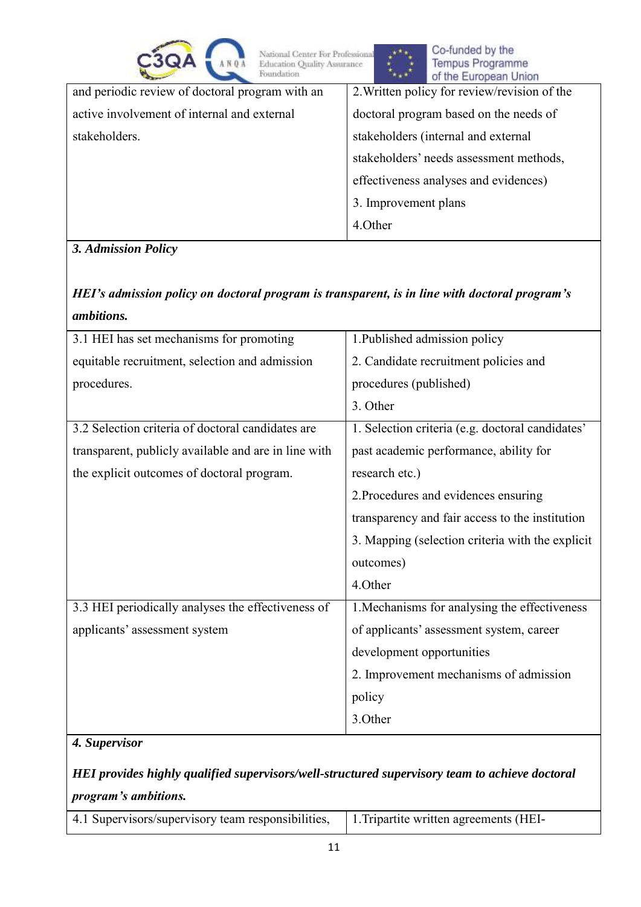| National Center For Professional<br>Education Quality Assurance<br>Foundation | Co-funded by the<br>Tempus Programme<br>of the European Union |
|-------------------------------------------------------------------------------|---------------------------------------------------------------|
| and periodic review of doctoral program with an                               | 2. Written policy for review/revision of the                  |
| active involvement of internal and external                                   | doctoral program based on the needs of                        |
| stakeholders.                                                                 | stakeholders (internal and external                           |
|                                                                               | stakeholders' needs assessment methods,                       |
|                                                                               | effectiveness analyses and evidences)                         |
|                                                                               | 3. Improvement plans                                          |
|                                                                               | 4.Other                                                       |

## *3. Admission Policy*

*HEI's admission policy on doctoral program is transparent, is in line with doctoral program's ambitions.*

| 3.1 HEI has set mechanisms for promoting             | 1. Published admission policy                    |
|------------------------------------------------------|--------------------------------------------------|
| equitable recruitment, selection and admission       | 2. Candidate recruitment policies and            |
| procedures.                                          | procedures (published)                           |
|                                                      | 3. Other                                         |
| 3.2 Selection criteria of doctoral candidates are    | 1. Selection criteria (e.g. doctoral candidates' |
| transparent, publicly available and are in line with | past academic performance, ability for           |
| the explicit outcomes of doctoral program.           | research etc.)                                   |
|                                                      | 2. Procedures and evidences ensuring             |
|                                                      | transparency and fair access to the institution  |
|                                                      | 3. Mapping (selection criteria with the explicit |
|                                                      | outcomes)                                        |
|                                                      | 4.Other                                          |
| 3.3 HEI periodically analyses the effectiveness of   | 1. Mechanisms for analysing the effectiveness    |
| applicants' assessment system                        | of applicants' assessment system, career         |
|                                                      | development opportunities                        |
|                                                      | 2. Improvement mechanisms of admission           |
|                                                      | policy                                           |
|                                                      | 3.Other                                          |

## *4. Supervisor*

*HEI provides highly qualified supervisors/well-structured supervisory team to achieve doctoral program's ambitions.*

| 4.1 Supervisors/supervisory team responsibilities, | 1. Tripartite written agreements (HEI- |
|----------------------------------------------------|----------------------------------------|
|----------------------------------------------------|----------------------------------------|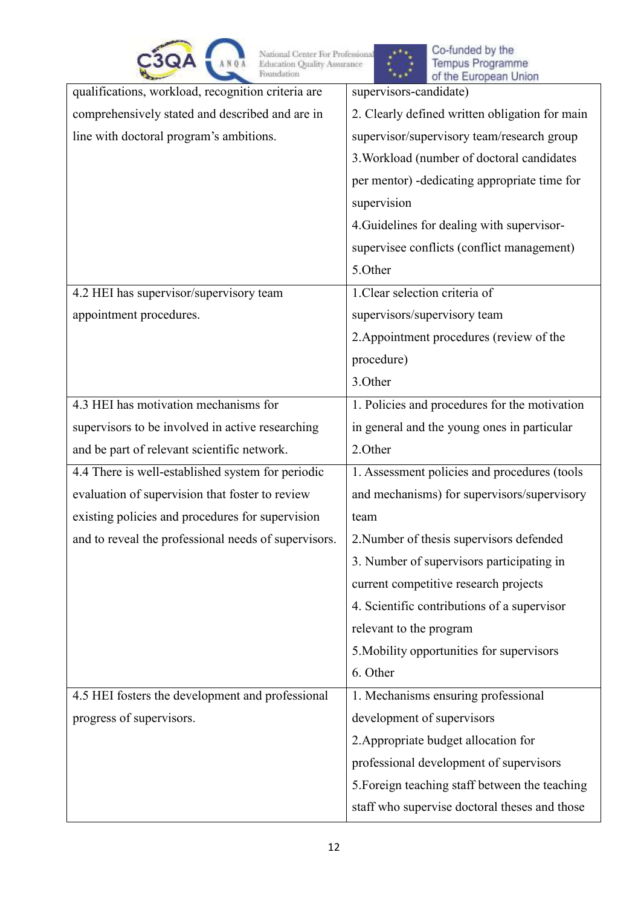| C3QA | <b>BANOA</b> | National Center For Professional<br><b>Education Ouality Assurance</b><br><b>Foundation</b> |
|------|--------------|---------------------------------------------------------------------------------------------|
|      |              |                                                                                             |



| National Center For Professional<br><b>Education Quality Assurance</b><br>Foundation | Co-funded by the<br>Tempus Programme<br>of the European Union |
|--------------------------------------------------------------------------------------|---------------------------------------------------------------|
| qualifications, workload, recognition criteria are                                   | supervisors-candidate)                                        |
| comprehensively stated and described and are in                                      | 2. Clearly defined written obligation for main                |
| line with doctoral program's ambitions.                                              | supervisor/supervisory team/research group                    |
|                                                                                      | 3. Workload (number of doctoral candidates                    |
|                                                                                      | per mentor) - dedicating appropriate time for                 |
|                                                                                      | supervision                                                   |
|                                                                                      | 4. Guidelines for dealing with supervisor-                    |
|                                                                                      | supervisee conflicts (conflict management)                    |
|                                                                                      | 5.Other                                                       |
| 4.2 HEI has supervisor/supervisory team                                              | 1. Clear selection criteria of                                |
| appointment procedures.                                                              | supervisors/supervisory team                                  |
|                                                                                      | 2. Appointment procedures (review of the                      |
|                                                                                      | procedure)                                                    |
|                                                                                      | 3.Other                                                       |
| 4.3 HEI has motivation mechanisms for                                                | 1. Policies and procedures for the motivation                 |
| supervisors to be involved in active researching                                     | in general and the young ones in particular                   |
| and be part of relevant scientific network.                                          | 2.Other                                                       |
| 4.4 There is well-established system for periodic                                    | 1. Assessment policies and procedures (tools                  |
| evaluation of supervision that foster to review                                      | and mechanisms) for supervisors/supervisory                   |
| existing policies and procedures for supervision                                     | team                                                          |
| and to reveal the professional needs of supervisors.                                 | 2. Number of thesis supervisors defended                      |
|                                                                                      | 3. Number of supervisors participating in                     |
|                                                                                      | current competitive research projects                         |
|                                                                                      | 4. Scientific contributions of a supervisor                   |
|                                                                                      | relevant to the program                                       |
|                                                                                      | 5. Mobility opportunities for supervisors                     |
|                                                                                      | 6. Other                                                      |
| 4.5 HEI fosters the development and professional                                     | 1. Mechanisms ensuring professional                           |
| progress of supervisors.                                                             | development of supervisors                                    |
|                                                                                      | 2. Appropriate budget allocation for                          |
|                                                                                      | professional development of supervisors                       |
|                                                                                      | 5. Foreign teaching staff between the teaching                |
|                                                                                      | staff who supervise doctoral theses and those                 |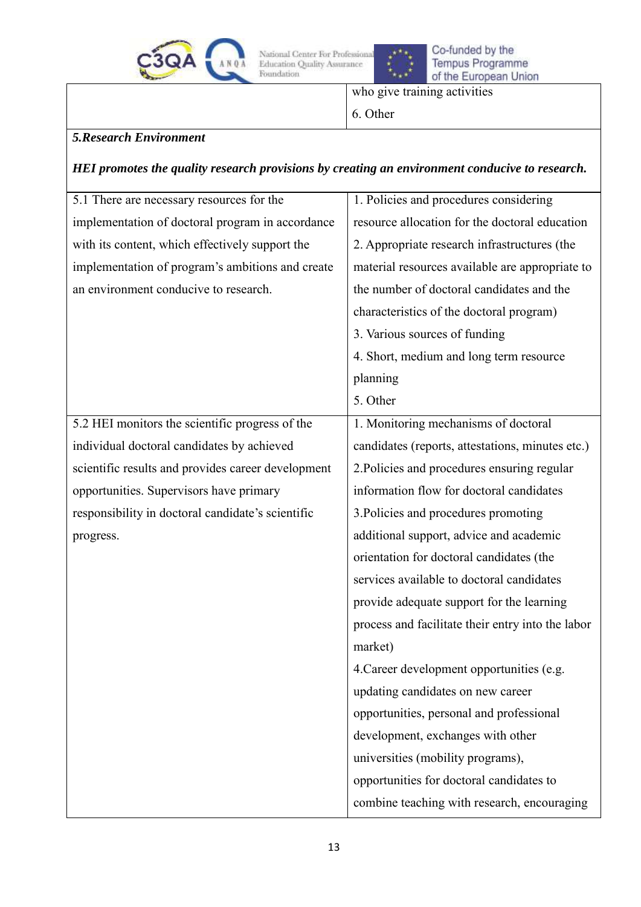



Co-funded by the<br>Tempus Programme of the European Union

who give training activities

6. Other

## *5.Research Environment*

### *HEI promotes the quality research provisions by creating an environment conducive to research.*

| 5.1 There are necessary resources for the          | 1. Policies and procedures considering            |
|----------------------------------------------------|---------------------------------------------------|
| implementation of doctoral program in accordance   | resource allocation for the doctoral education    |
| with its content, which effectively support the    | 2. Appropriate research infrastructures (the      |
| implementation of program's ambitions and create   | material resources available are appropriate to   |
| an environment conducive to research.              | the number of doctoral candidates and the         |
|                                                    | characteristics of the doctoral program)          |
|                                                    | 3. Various sources of funding                     |
|                                                    | 4. Short, medium and long term resource           |
|                                                    | planning                                          |
|                                                    | 5. Other                                          |
| 5.2 HEI monitors the scientific progress of the    | 1. Monitoring mechanisms of doctoral              |
| individual doctoral candidates by achieved         | candidates (reports, attestations, minutes etc.)  |
| scientific results and provides career development | 2. Policies and procedures ensuring regular       |
| opportunities. Supervisors have primary            | information flow for doctoral candidates          |
| responsibility in doctoral candidate's scientific  | 3. Policies and procedures promoting              |
| progress.                                          | additional support, advice and academic           |
|                                                    | orientation for doctoral candidates (the          |
|                                                    | services available to doctoral candidates         |
|                                                    | provide adequate support for the learning         |
|                                                    | process and facilitate their entry into the labor |
|                                                    | market)                                           |
|                                                    | 4. Career development opportunities (e.g.         |
|                                                    | updating candidates on new career                 |
|                                                    | opportunities, personal and professional          |
|                                                    | development, exchanges with other                 |
|                                                    | universities (mobility programs),                 |
|                                                    | opportunities for doctoral candidates to          |
|                                                    | combine teaching with research, encouraging       |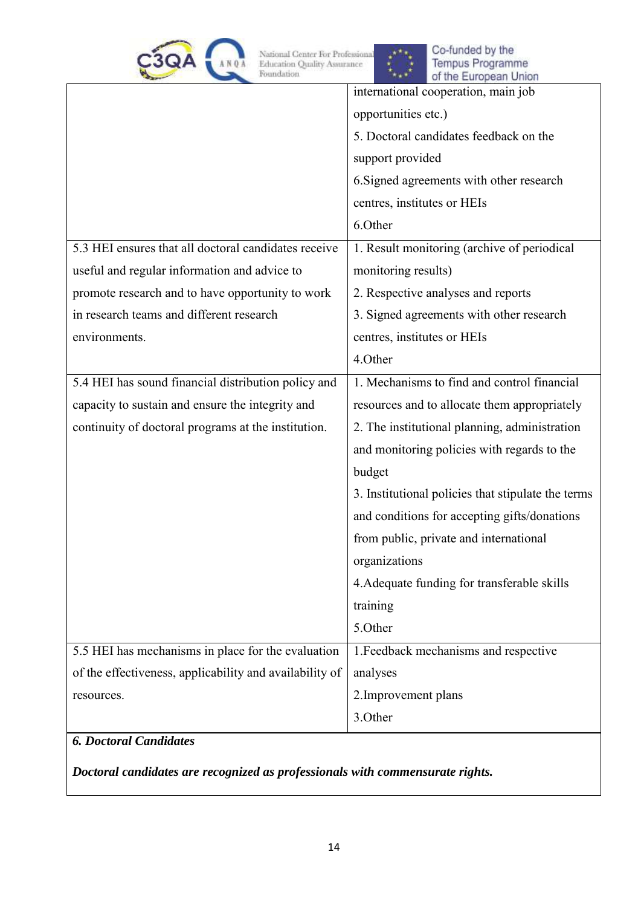



|                                                         | international cooperation, main job                |
|---------------------------------------------------------|----------------------------------------------------|
|                                                         | opportunities etc.)                                |
|                                                         | 5. Doctoral candidates feedback on the             |
|                                                         | support provided                                   |
|                                                         | 6. Signed agreements with other research           |
|                                                         | centres, institutes or HEIs                        |
|                                                         | 6.Other                                            |
| 5.3 HEI ensures that all doctoral candidates receive    | 1. Result monitoring (archive of periodical        |
| useful and regular information and advice to            | monitoring results)                                |
| promote research and to have opportunity to work        | 2. Respective analyses and reports                 |
| in research teams and different research                | 3. Signed agreements with other research           |
| environments.                                           | centres, institutes or HEIs                        |
|                                                         | 4.Other                                            |
| 5.4 HEI has sound financial distribution policy and     | 1. Mechanisms to find and control financial        |
| capacity to sustain and ensure the integrity and        | resources and to allocate them appropriately       |
| continuity of doctoral programs at the institution.     | 2. The institutional planning, administration      |
|                                                         | and monitoring policies with regards to the        |
|                                                         | budget                                             |
|                                                         | 3. Institutional policies that stipulate the terms |
|                                                         | and conditions for accepting gifts/donations       |
|                                                         | from public, private and international             |
|                                                         | organizations                                      |
|                                                         | 4. Adequate funding for transferable skills        |
|                                                         | training                                           |
|                                                         | 5.Other                                            |
| 5.5 HEI has mechanisms in place for the evaluation      | 1. Feedback mechanisms and respective              |
| of the effectiveness, applicability and availability of | analyses                                           |
| resources.                                              | 2. Improvement plans                               |
|                                                         | 3.Other                                            |
| <b>6. Doctoral Candidates</b>                           |                                                    |

*Doctoral candidates are recognized as professionals with commensurate rights.*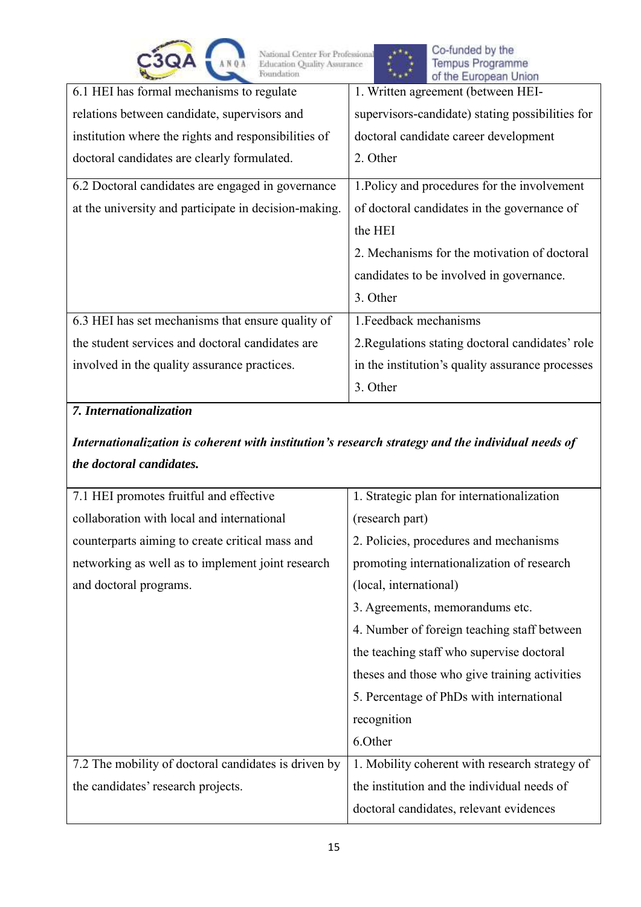



|                                                       | $\sim$                                           |
|-------------------------------------------------------|--------------------------------------------------|
| 6.1 HEI has formal mechanisms to regulate             | 1. Written agreement (between HEI-               |
| relations between candidate, supervisors and          | supervisors-candidate) stating possibilities for |
| institution where the rights and responsibilities of  | doctoral candidate career development            |
| doctoral candidates are clearly formulated.           | 2. Other                                         |
| 6.2 Doctoral candidates are engaged in governance     | 1. Policy and procedures for the involvement     |
| at the university and participate in decision-making. | of doctoral candidates in the governance of      |
|                                                       | the HEI                                          |
|                                                       | 2. Mechanisms for the motivation of doctoral     |
|                                                       | candidates to be involved in governance.         |
|                                                       | 3. Other                                         |
| 6.3 HEI has set mechanisms that ensure quality of     | 1. Feedback mechanisms                           |
| the student services and doctoral candidates are      | 2. Regulations stating doctoral candidates' role |
| involved in the quality assurance practices.          | in the institution's quality assurance processes |
|                                                       | 3. Other                                         |

# *7. Internationalization*

# *Internationalization is coherent with institution's research strategy and the individual needs of the doctoral candidates.*

| 7.1 HEI promotes fruitful and effective              | 1. Strategic plan for internationalization     |  |
|------------------------------------------------------|------------------------------------------------|--|
| collaboration with local and international           | (research part)                                |  |
| counterparts aiming to create critical mass and      | 2. Policies, procedures and mechanisms         |  |
| networking as well as to implement joint research    | promoting internationalization of research     |  |
| and doctoral programs.                               | (local, international)                         |  |
|                                                      | 3. Agreements, memorandums etc.                |  |
|                                                      | 4. Number of foreign teaching staff between    |  |
|                                                      | the teaching staff who supervise doctoral      |  |
|                                                      | theses and those who give training activities  |  |
|                                                      | 5. Percentage of PhDs with international       |  |
|                                                      | recognition                                    |  |
|                                                      | 6.Other                                        |  |
| 7.2 The mobility of doctoral candidates is driven by | 1. Mobility coherent with research strategy of |  |
| the candidates' research projects.                   | the institution and the individual needs of    |  |
|                                                      | doctoral candidates, relevant evidences        |  |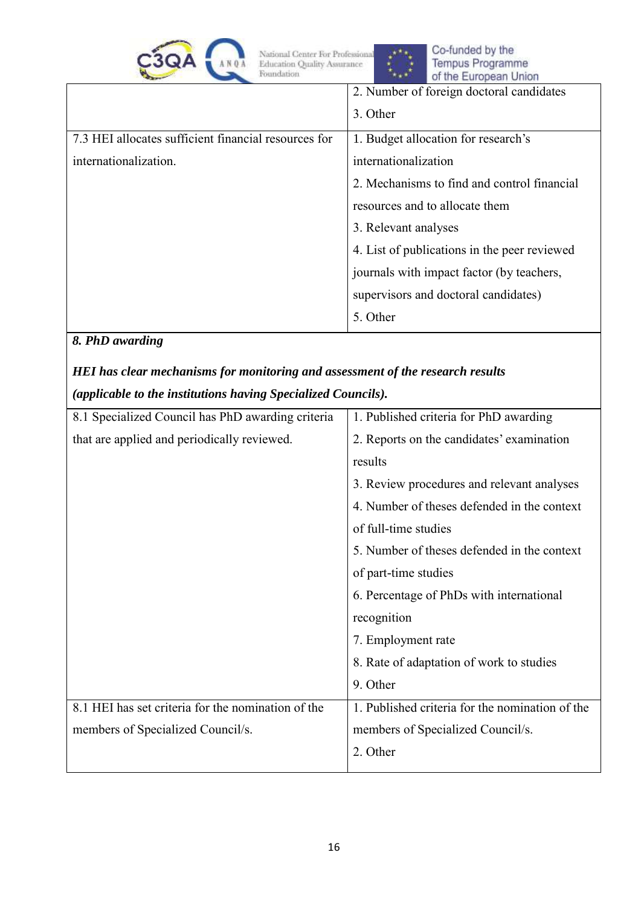



|                                                      | 2. Number of foreign doctoral candidates     |
|------------------------------------------------------|----------------------------------------------|
|                                                      | 3. Other                                     |
| 7.3 HEI allocates sufficient financial resources for | 1. Budget allocation for research's          |
| internationalization.                                | internationalization                         |
|                                                      | 2. Mechanisms to find and control financial  |
|                                                      | resources and to allocate them               |
|                                                      | 3. Relevant analyses                         |
|                                                      | 4. List of publications in the peer reviewed |
|                                                      | journals with impact factor (by teachers,    |
|                                                      | supervisors and doctoral candidates)         |
|                                                      | 5. Other                                     |

### *8. PhD awarding*

# *HEI has clear mechanisms for monitoring and assessment of the research results (applicable to the institutions having Specialized Councils).*

| 8.1 Specialized Council has PhD awarding criteria  | 1. Published criteria for PhD awarding          |  |
|----------------------------------------------------|-------------------------------------------------|--|
| that are applied and periodically reviewed.        | 2. Reports on the candidates' examination       |  |
|                                                    | results                                         |  |
|                                                    | 3. Review procedures and relevant analyses      |  |
|                                                    | 4. Number of theses defended in the context     |  |
|                                                    | of full-time studies                            |  |
|                                                    | 5. Number of theses defended in the context     |  |
|                                                    | of part-time studies                            |  |
|                                                    | 6. Percentage of PhDs with international        |  |
|                                                    | recognition                                     |  |
|                                                    | 7. Employment rate                              |  |
|                                                    | 8. Rate of adaptation of work to studies        |  |
|                                                    | 9. Other                                        |  |
| 8.1 HEI has set criteria for the nomination of the | 1. Published criteria for the nomination of the |  |
| members of Specialized Council/s.                  | members of Specialized Council/s.               |  |
|                                                    | 2. Other                                        |  |
|                                                    |                                                 |  |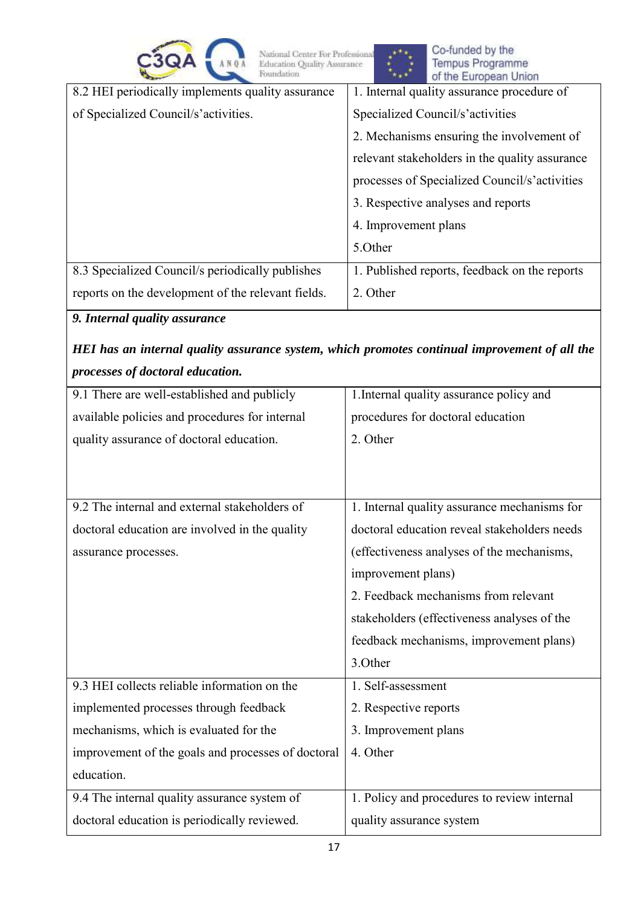| $\blacktriangle$<br>. .<br><b>STATE</b> |  |
|-----------------------------------------|--|
|                                         |  |

Co-funded by the Tempus Programme<br>of the European Union

| --                                                 | of the Laropean onion                          |
|----------------------------------------------------|------------------------------------------------|
| 8.2 HEI periodically implements quality assurance  | 1. Internal quality assurance procedure of     |
| of Specialized Council/s'activities.               | Specialized Council/s'activities               |
|                                                    | 2. Mechanisms ensuring the involvement of      |
|                                                    | relevant stakeholders in the quality assurance |
|                                                    | processes of Specialized Council/s'activities  |
|                                                    | 3. Respective analyses and reports             |
|                                                    | 4. Improvement plans                           |
|                                                    | 5.0ther                                        |
| 8.3 Specialized Council/s periodically publishes   | 1. Published reports, feedback on the reports  |
| reports on the development of the relevant fields. | 2. Other                                       |
|                                                    |                                                |

## *9. Internal quality assurance*

# *HEI has an internal quality assurance system, which promotes continual improvement of all the processes of doctoral education.*

| 9.1 There are well-established and publicly        | 1. Internal quality assurance policy and     |
|----------------------------------------------------|----------------------------------------------|
| available policies and procedures for internal     | procedures for doctoral education            |
| quality assurance of doctoral education.           | 2. Other                                     |
|                                                    |                                              |
|                                                    |                                              |
| 9.2 The internal and external stakeholders of      | 1. Internal quality assurance mechanisms for |
| doctoral education are involved in the quality     | doctoral education reveal stakeholders needs |
| assurance processes.                               | (effectiveness analyses of the mechanisms,   |
|                                                    | improvement plans)                           |
|                                                    | 2. Feedback mechanisms from relevant         |
|                                                    | stakeholders (effectiveness analyses of the  |
|                                                    | feedback mechanisms, improvement plans)      |
|                                                    | 3.Other                                      |
| 9.3 HEI collects reliable information on the       | 1. Self-assessment                           |
| implemented processes through feedback             | 2. Respective reports                        |
| mechanisms, which is evaluated for the             | 3. Improvement plans                         |
| improvement of the goals and processes of doctoral | 4. Other                                     |
| education.                                         |                                              |
| 9.4 The internal quality assurance system of       | 1. Policy and procedures to review internal  |
| doctoral education is periodically reviewed.       | quality assurance system                     |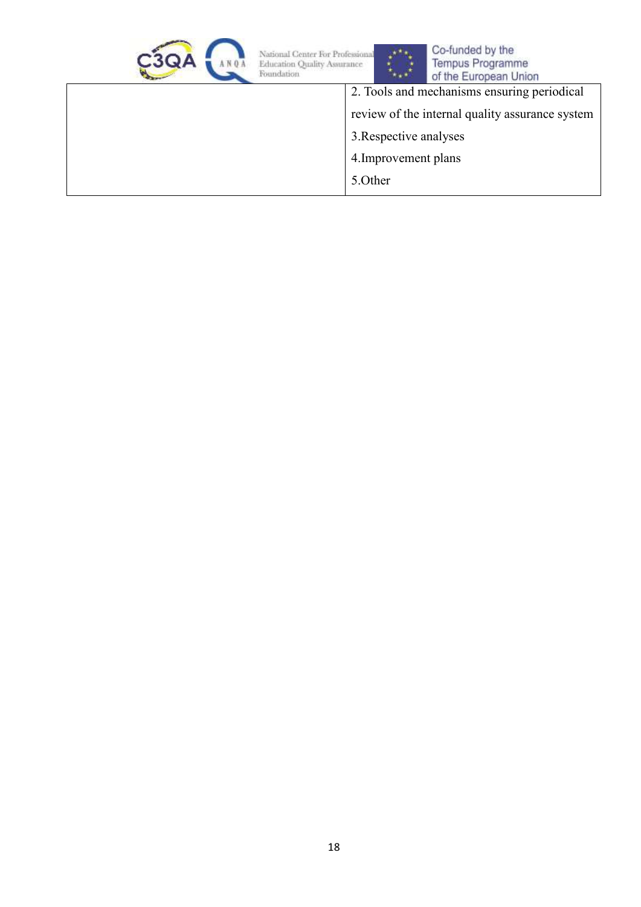



湾

| Of the Editorical Official                      |
|-------------------------------------------------|
| 2. Tools and mechanisms ensuring periodical     |
| review of the internal quality assurance system |
| 3. Respective analyses                          |
| 4. Improvement plans                            |
| 5.0ther                                         |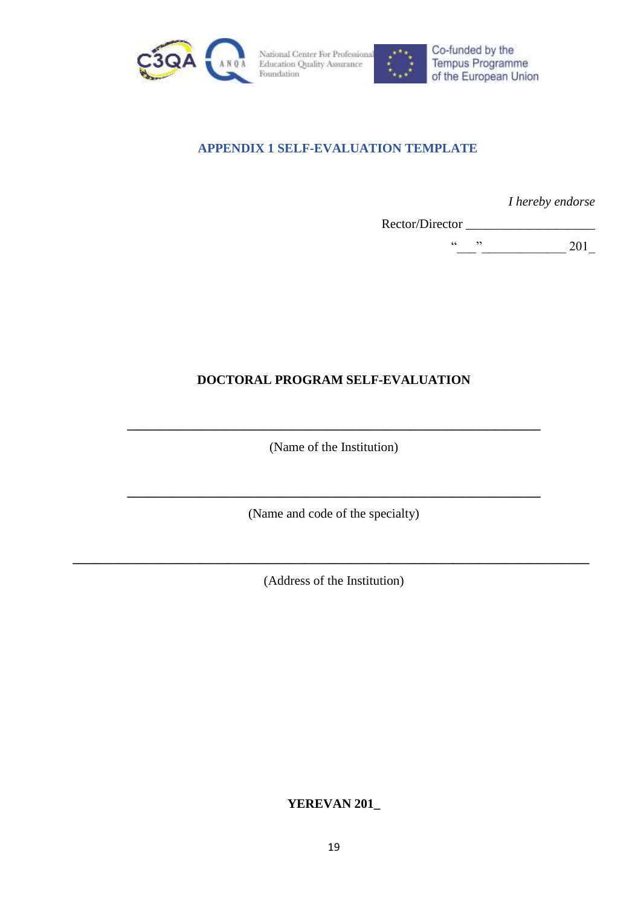<span id="page-18-0"></span>



Co-funded by the Tempus Programme of the European Union

### **APPENDIX 1 SELF-EVALUATION TEMPLATE**

*I hereby endorse* 

Rector/Director \_\_\_\_\_\_\_\_\_\_\_\_\_\_\_\_\_\_\_\_

 $\frac{1}{201}$  201

## **DOCTORAL PROGRAM SELF-EVALUATION**

(Name of the Institution)

**\_\_\_\_\_\_\_\_\_\_\_\_\_\_\_\_\_\_\_\_\_\_\_\_\_\_\_\_\_\_\_\_\_\_\_\_\_\_\_\_\_\_\_\_\_\_\_\_\_\_\_\_\_\_\_\_\_\_\_\_\_\_\_\_**

**\_\_\_\_\_\_\_\_\_\_\_\_\_\_\_\_\_\_\_\_\_\_\_\_\_\_\_\_\_\_\_\_\_\_\_\_\_\_\_\_\_\_\_\_\_\_\_\_\_\_\_\_\_\_\_\_\_\_\_\_\_\_\_\_** (Name and code of the specialty)

(Address of the Institution)

**\_\_\_\_\_\_\_\_\_\_\_\_\_\_\_\_\_\_\_\_\_\_\_\_\_\_\_\_\_\_\_\_\_\_\_\_\_\_\_\_\_\_\_\_\_\_\_\_\_\_\_\_\_\_\_\_\_\_\_\_\_\_\_\_\_\_\_\_\_\_\_\_\_\_\_\_\_\_\_\_**

**YEREVAN 201\_**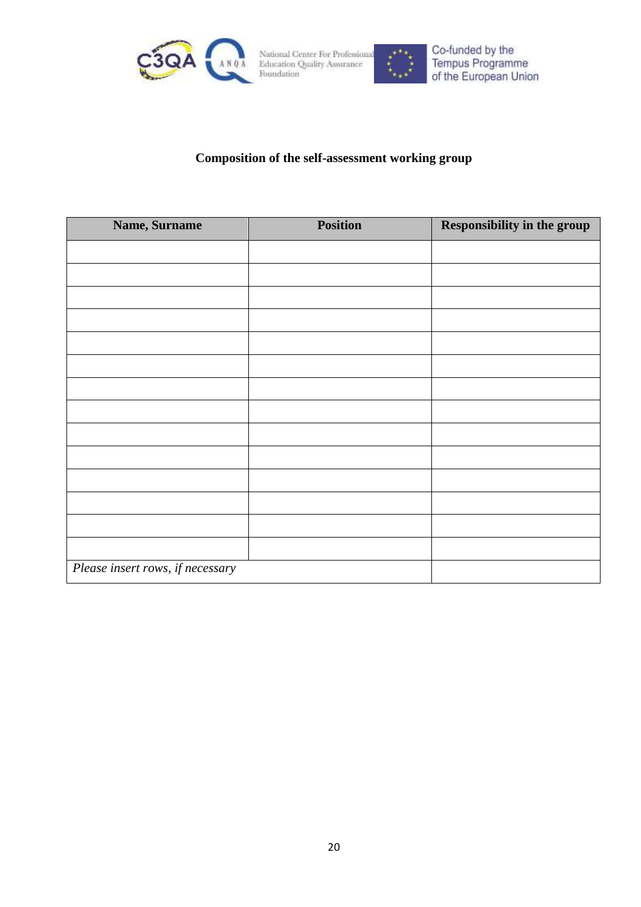



### **Composition of the self-assessment working group**

| Name, Surname                    | <b>Position</b> | Responsibility in the group |
|----------------------------------|-----------------|-----------------------------|
|                                  |                 |                             |
|                                  |                 |                             |
|                                  |                 |                             |
|                                  |                 |                             |
|                                  |                 |                             |
|                                  |                 |                             |
|                                  |                 |                             |
|                                  |                 |                             |
|                                  |                 |                             |
|                                  |                 |                             |
|                                  |                 |                             |
|                                  |                 |                             |
|                                  |                 |                             |
|                                  |                 |                             |
| Please insert rows, if necessary |                 |                             |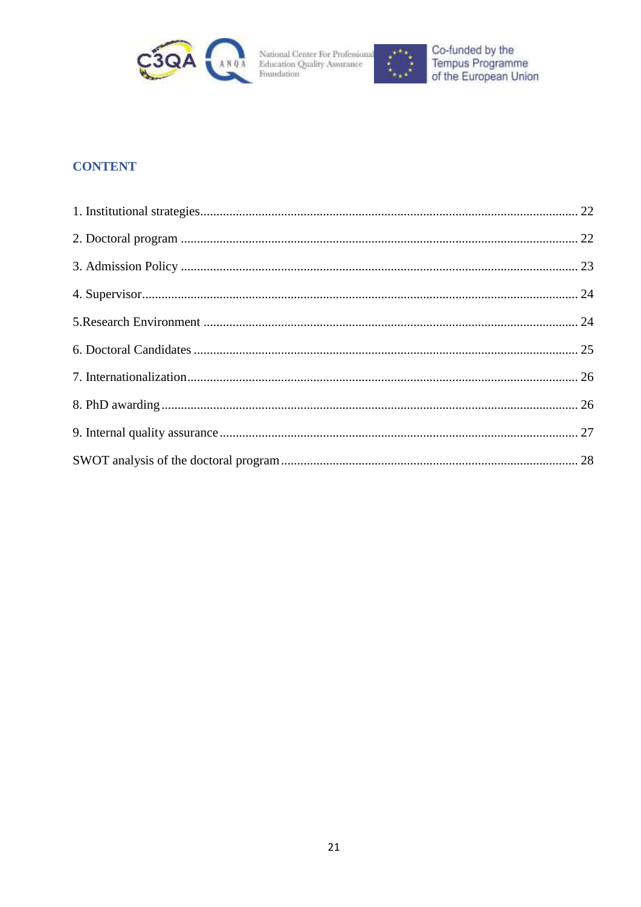



## **CONTENT**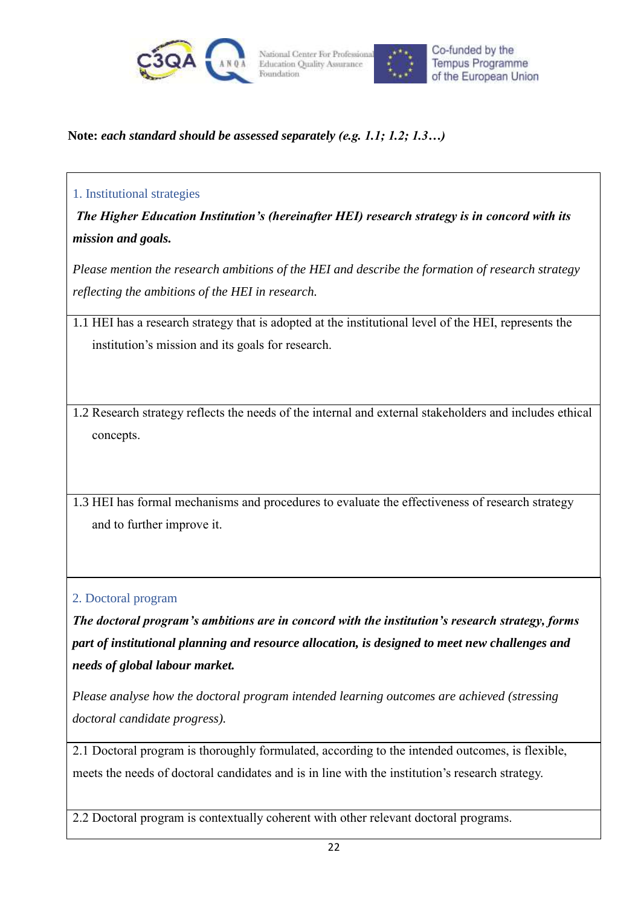



### **Note:** *each standard should be assessed separately (e.g. 1.1; 1.2; 1.3…)*

#### <span id="page-21-0"></span>1. Institutional strategies

*The Higher Education Institution's (hereinafter HEI) research strategy is in concord with its mission and goals.* 

*Please mention the research ambitions of the HEI and describe the formation of research strategy reflecting the ambitions of the HEI in research.*

1.1 HEI has a research strategy that is adopted at the institutional level of the HEI, represents the institution's mission and its goals for research.

1.2 Research strategy reflects the needs of the internal and external stakeholders and includes ethical concepts.

1.3 HEI has formal mechanisms and procedures to evaluate the effectiveness of research strategy and to further improve it.

<span id="page-21-1"></span>2. Doctoral program

*The doctoral program's ambitions are in concord with the institution's research strategy, forms part of institutional planning and resource allocation, is designed to meet new challenges and needs of global labour market.* 

*Please analyse how the doctoral program intended learning outcomes are achieved (stressing doctoral candidate progress).*

2.1 Doctoral program is thoroughly formulated, according to the intended outcomes, is flexible, meets the needs of doctoral candidates and is in line with the institution's research strategy.

2.2 Doctoral program is contextually coherent with other relevant doctoral programs.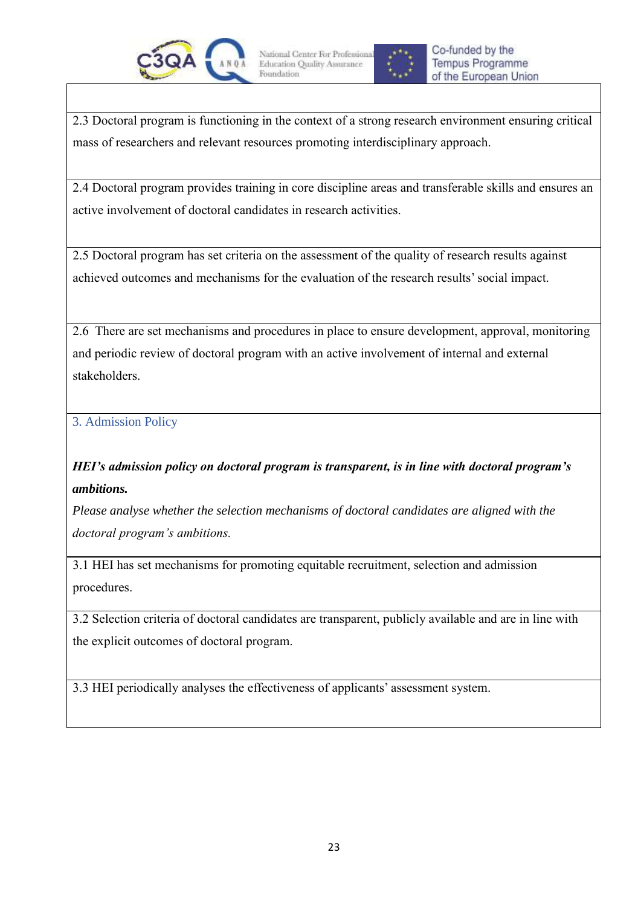



2.3 Doctoral program is functioning in the context of a strong research environment ensuring critical mass of researchers and relevant resources promoting interdisciplinary approach.

2.4 Doctoral program provides training in core discipline areas and transferable skills and ensures an active involvement of doctoral candidates in research activities.

2.5 Doctoral program has set criteria on the assessment of the quality of research results against achieved outcomes and mechanisms for the evaluation of the research results' social impact.

2.6 There are set mechanisms and procedures in place to ensure development, approval, monitoring and periodic review of doctoral program with an active involvement of internal and external stakeholders.

<span id="page-22-0"></span>3. Admission Policy

*HEI's admission policy on doctoral program is transparent, is in line with doctoral program's ambitions.* 

*Please analyse whether the selection mechanisms of doctoral candidates are aligned with the doctoral program's ambitions.*

3.1 HEI has set mechanisms for promoting equitable recruitment, selection and admission procedures.

3.2 Selection criteria of doctoral candidates are transparent, publicly available and are in line with the explicit outcomes of doctoral program.

3.3 HEI periodically analyses the effectiveness of applicants' assessment system.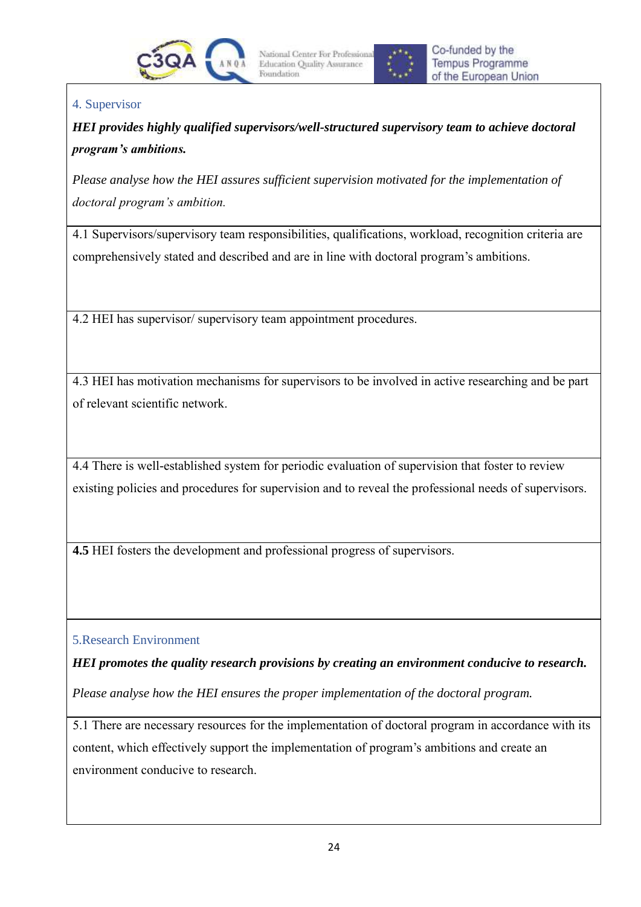



## <span id="page-23-0"></span>4. Supervisor

*HEI provides highly qualified supervisors/well-structured supervisory team to achieve doctoral program's ambitions.*

*Please analyse how the HEI assures sufficient supervision motivated for the implementation of doctoral program's ambition.* 

4.1 Supervisors/supervisory team responsibilities, qualifications, workload, recognition criteria are comprehensively stated and described and are in line with doctoral program's ambitions.

4.2 HEI has supervisor/ supervisory team appointment procedures.

4.3 HEI has motivation mechanisms for supervisors to be involved in active researching and be part of relevant scientific network.

4.4 There is well-established system for periodic evaluation of supervision that foster to review existing policies and procedures for supervision and to reveal the professional needs of supervisors.

**4.5** HEI fosters the development and professional progress of supervisors.

<span id="page-23-1"></span>5.Research Environment

*HEI promotes the quality research provisions by creating an environment conducive to research.*

*Please analyse how the HEI ensures the proper implementation of the doctoral program.*

5.1 There are necessary resources for the implementation of doctoral program in accordance with its content, which effectively support the implementation of program's ambitions and create an environment conducive to research.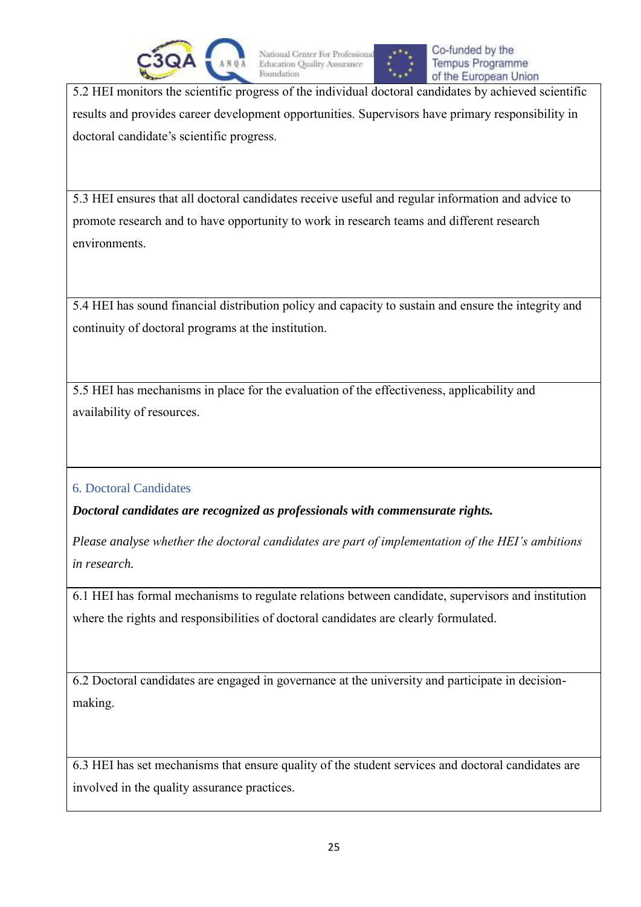



5.2 HEI monitors the scientific progress of the individual doctoral candidates by achieved scientific results and provides career development opportunities. Supervisors have primary responsibility in doctoral candidate's scientific progress.

5.3 HEI ensures that all doctoral candidates receive useful and regular information and advice to promote research and to have opportunity to work in research teams and different research environments.

5.4 HEI has sound financial distribution policy and capacity to sustain and ensure the integrity and continuity of doctoral programs at the institution.

5.5 HEI has mechanisms in place for the evaluation of the effectiveness, applicability and availability of resources.

<span id="page-24-0"></span>6. Doctoral Candidates

*Doctoral candidates are recognized as professionals with commensurate rights.* 

*Please analyse whether the doctoral candidates are part of implementation of the HEI's ambitions in research.* 

6.1 HEI has formal mechanisms to regulate relations between candidate, supervisors and institution where the rights and responsibilities of doctoral candidates are clearly formulated.

6.2 Doctoral candidates are engaged in governance at the university and participate in decisionmaking.

6.3 HEI has set mechanisms that ensure quality of the student services and doctoral candidates are involved in the quality assurance practices.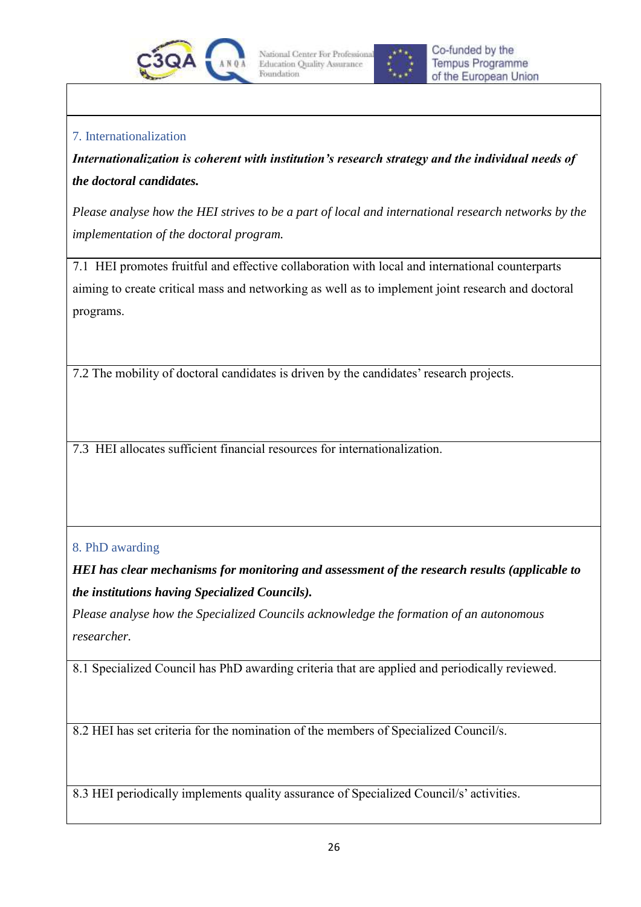



### <span id="page-25-0"></span>7. Internationalization

*Internationalization is coherent with institution's research strategy and the individual needs of the doctoral candidates.* 

*Please analyse how the HEI strives to be a part of local and international research networks by the implementation of the doctoral program.*

7.1 HEI promotes fruitful and effective collaboration with local and international counterparts aiming to create critical mass and networking as well as to implement joint research and doctoral programs.

7.2 The mobility of doctoral candidates is driven by the candidates' research projects.

7.3 HEI allocates sufficient financial resources for internationalization.

### <span id="page-25-1"></span>8. PhD awarding

*HEI has clear mechanisms for monitoring and assessment of the research results (applicable to the institutions having Specialized Councils).* 

*Please analyse how the Specialized Councils acknowledge the formation of an autonomous researcher.* 

8.1 Specialized Council has PhD awarding criteria that are applied and periodically reviewed.

8.2 HEI has set criteria for the nomination of the members of Specialized Council/s.

8.3 HEI periodically implements quality assurance of Specialized Council/s' activities.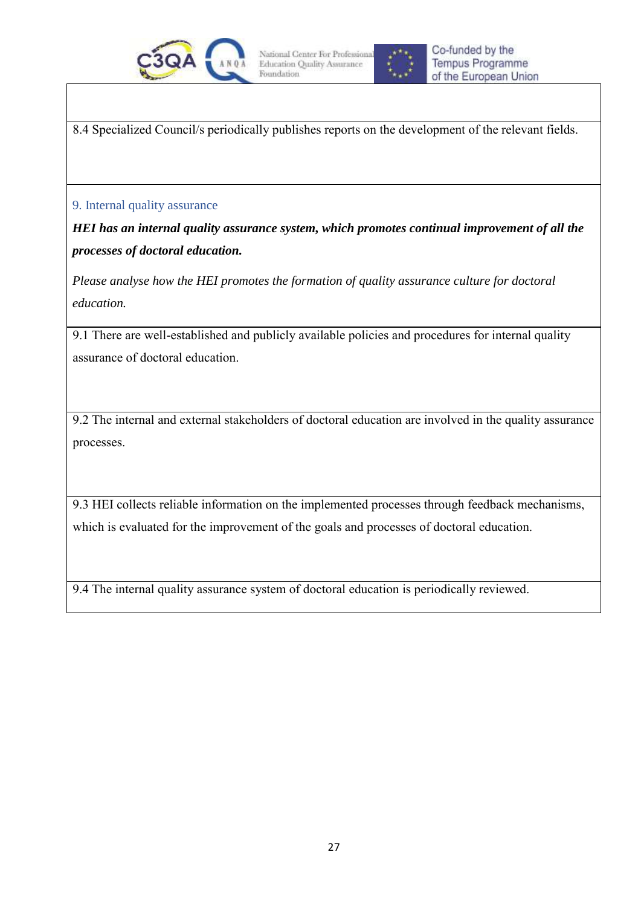



8.4 Specialized Council/s periodically publishes reports on the development of the relevant fields.

#### <span id="page-26-0"></span>9. Internal quality assurance

*HEI has an internal quality assurance system, which promotes continual improvement of all the processes of doctoral education.* 

*Please analyse how the HEI promotes the formation of quality assurance culture for doctoral education.*

9.1 There are well-established and publicly available policies and procedures for internal quality assurance of doctoral education.

9.2 The internal and external stakeholders of doctoral education are involved in the quality assurance processes.

9.3 HEI collects reliable information on the implemented processes through feedback mechanisms, which is evaluated for the improvement of the goals and processes of doctoral education.

9.4 The internal quality assurance system of doctoral education is periodically reviewed.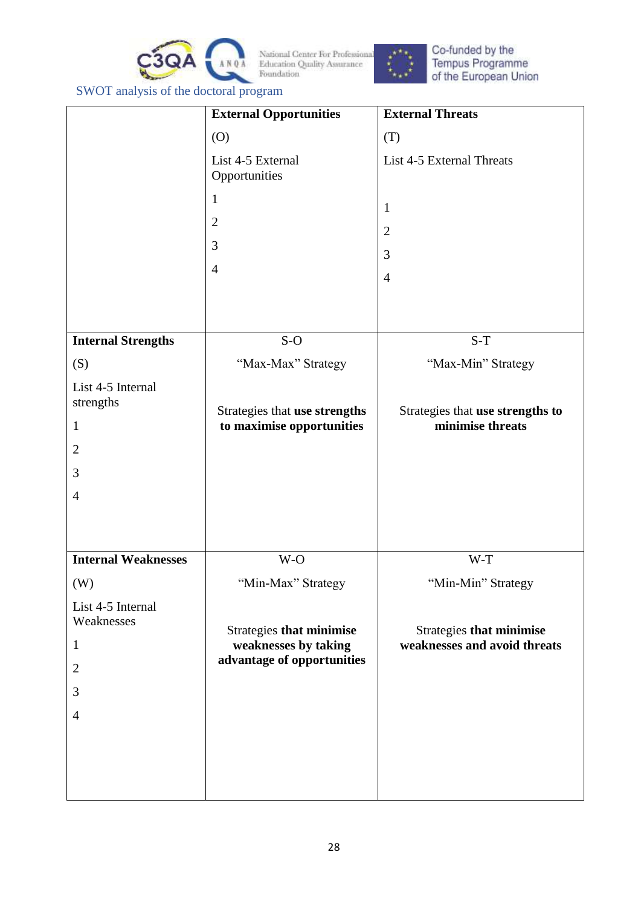



Co-funded by the<br>Tempus Programme<br>of the European Union

<span id="page-27-0"></span>SWOT analysis of the doctoral program

|                                 | <b>External Opportunities</b>                              | <b>External Threats</b>                              |
|---------------------------------|------------------------------------------------------------|------------------------------------------------------|
|                                 | (0)                                                        | (T)                                                  |
|                                 | List 4-5 External<br>Opportunities                         | List 4-5 External Threats                            |
|                                 | $\mathbf{1}$<br>$\overline{2}$                             | $\mathbf{1}$                                         |
|                                 | 3                                                          | $\mathbf{2}$                                         |
|                                 |                                                            | 3                                                    |
|                                 | $\overline{4}$                                             | $\overline{4}$                                       |
|                                 |                                                            |                                                      |
| <b>Internal Strengths</b>       | $S-O$                                                      | $S-T$                                                |
| (S)                             | "Max-Max" Strategy                                         | "Max-Min" Strategy                                   |
| List 4-5 Internal<br>strengths  |                                                            |                                                      |
| $\mathbf{1}$                    | Strategies that use strengths<br>to maximise opportunities | Strategies that use strengths to<br>minimise threats |
| $\overline{2}$                  |                                                            |                                                      |
| 3                               |                                                            |                                                      |
| $\overline{4}$                  |                                                            |                                                      |
|                                 |                                                            |                                                      |
|                                 |                                                            |                                                      |
| <b>Internal Weaknesses</b>      | W-O                                                        | W-T                                                  |
| (W)                             | "Min-Max" Strategy                                         | "Min-Min" Strategy                                   |
| List 4-5 Internal<br>Weaknesses | Strategies that minimise                                   | <b>Strategies that minimise</b>                      |
| $\mathbf{1}$                    | weaknesses by taking                                       | weaknesses and avoid threats                         |
| $\mathbf{2}$                    | advantage of opportunities                                 |                                                      |
| 3                               |                                                            |                                                      |
| $\overline{4}$                  |                                                            |                                                      |
|                                 |                                                            |                                                      |
|                                 |                                                            |                                                      |
|                                 |                                                            |                                                      |
|                                 |                                                            |                                                      |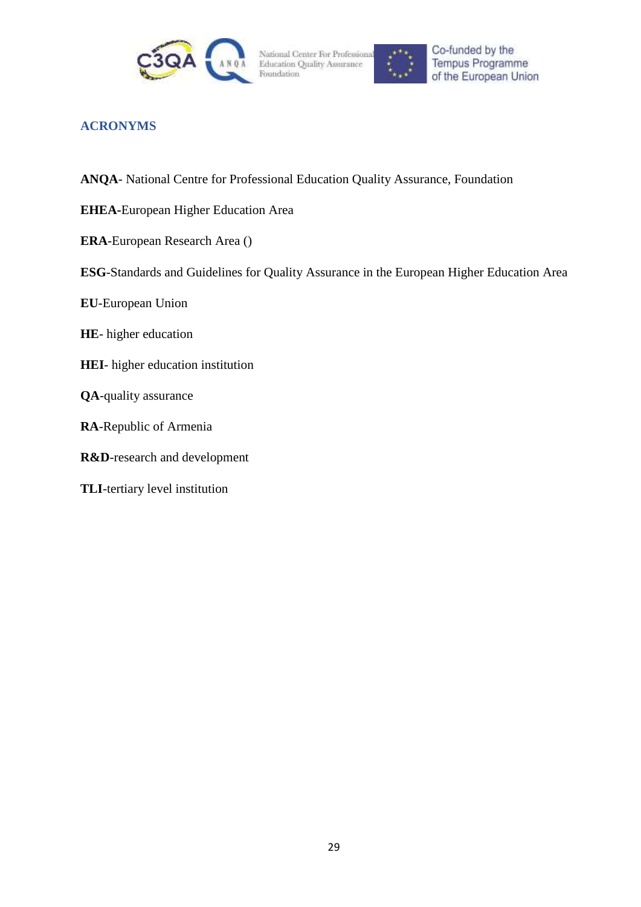



### <span id="page-28-0"></span>**ACRONYMS**

- **ANQA** National Centre for Professional Education Quality Assurance, Foundation
- **EHEA-**European Higher Education Area
- **ERA**-European Research Area ()
- **ESG**-Standards and Guidelines for Quality Assurance in the European Higher Education Area
- **EU**-European Union
- **HE** higher education
- **HEI** higher education institution
- **QA**-quality assurance
- **RA**-Republic of Armenia
- **R&D**-research and development
- **TLI**-tertiary level institution